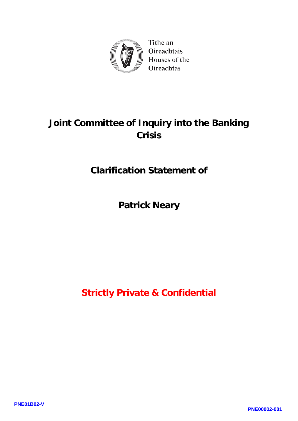

Tithe an Oireachtais Houses of the Oireachtas

## **Joint Committee of Inquiry into the Banking Crisis**

## **Clarification Statement of**

## **Patrick Neary**

**Strictly Private & Confidential**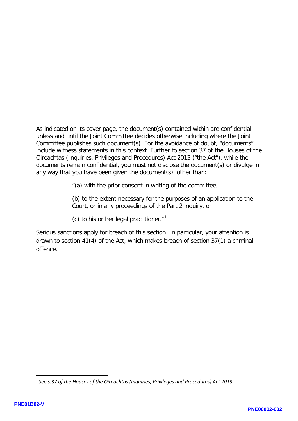As indicated on its cover page, the document(s) contained within are confidential unless and until the Joint Committee decides otherwise including where the Joint Committee publishes such document(s). For the avoidance of doubt, "documents" include witness statements in this context. Further to section 37 of the Houses of the Oireachtas (Inquiries, Privileges and Procedures) Act 2013 ("the Act"), while the documents remain confidential, you must not disclose the document(s) or divulge in any way that you have been given the document(s), other than:

"(a) with the prior consent in writing of the committee,

(b) to the extent necessary for the purposes of an application to the Court, or in any proceedings of the Part 2 inquiry, or

(c) to his or her legal practitioner. $1$ <sup>1</sup>

Serious sanctions apply for breach of this section. In particular, your attention is drawn to section 41(4) of the Act, which makes breach of section 37(1) a criminal offence.

<span id="page-1-0"></span><sup>1</sup> *See s.37 of the Houses of the Oireachtas (Inquiries, Privileges and Procedures) Act 2013*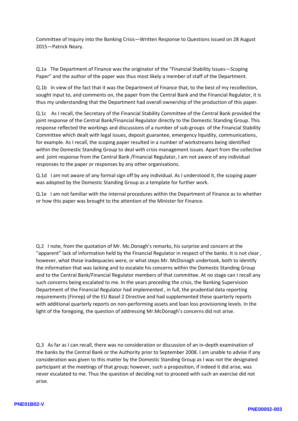Committee of Inquiry into the Banking Crisis—Written Response to Questions issued on 28 August 2015—Patrick Neary.

Q.1a The Department of Finance was the originator of the "Financial Stability Issues—Scoping Paper" and the author of the paper was thus most likely a member of staff of the Department.

Q.1b In view of the fact that it was the Department of Finance that, to the best of my recollection, sought input to, and comments on, the paper from the Central Bank and the Financial Regulator, it is thus my understanding that the Department had overall ownership of the production of this paper.

Q.1c As I recall, the Secretary of the Financial Stability Committee of the Central Bank provided the joint response of the Central Bank/Financial Regulator directly to the Domestic Standing Group. This response reflected the workings and discussions of a number of sub-groups of the Financial Stability Committee which dealt with legal issues, deposit guarantee, emergency liquidity, communications, for example. As I recall, the scoping paper resulted in a number of workstreams being identified within the Domestic Standing Group to deal with crisis management issues. Apart from the collective and joint response from the Central Bank /Financial Regulator, I am not aware of any individual responses to the paper or responses by any other organisations.

Q.1d I am not aware of any formal sign off by any individual. As I understood it, the scoping paper was adopted by the Domestic Standing Group as a template for further work.

Q.1e I am not familiar with the internal procedures within the Department of Finance as to whether or how this paper was brought to the attention of the Minister for Finance.

Q.2 I note, from the quotation of Mr. Mc.Donagh's remarks, his surprise and concern at the "apparent" lack of information held by the Financial Regulator in respect of the banks. It is not clear , however, what those inadequacies were, or what steps Mr. McDonagh undertook, both to identify the information that was lacking and to escalate his concerns within the Domestic Standing Group and to the Central Bank/Financial Regulator members of that committee. At no stage can I recall any such concerns being escalated to me. In the years preceding the crisis, the Banking Supervision Department of the Financial Regulator had implemented , in full, the prudential data reporting requirements (Finrep) of the EU Basel 2 Directive and had supplemented these quarterly reports with additional quarterly reports on non-performing assets and loan loss provisioning levels. In the light of the foregoing, the question of addressing Mr.McDonagh's concerns did not arise.

Q.3 As far as I can recall, there was no consideration or discussion of an in-depth examination of the banks by the Central Bank or the Authority prior to September 2008. I am unable to advise if any consideration was given to this matter by the Domestic Standing Group as I was not the designated participant at the meetings of that group; however, such a proposition, if indeed it did arise, was never escalated to me. Thus the question of deciding not to proceed with such an exercise did not arise.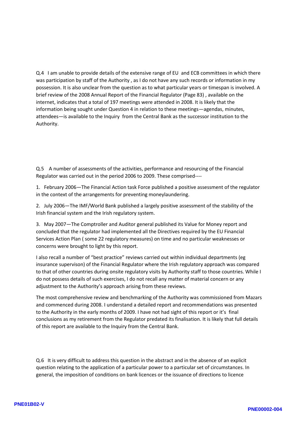Q.4 I am unable to provide details of the extensive range of EU and ECB committees in which there was participation by staff of the Authority , as I do not have any such records or information in my possession. It is also unclear from the question as to what particular years or timespan is involved. A brief review of the 2008 Annual Report of the Financial Regulator (Page 83) , available on the internet, indicates that a total of 197 meetings were attended in 2008. It is likely that the information being sought under Question 4 in relation to these meetings—agendas, minutes, attendees—is available to the Inquiry from the Central Bank as the successor institution to the Authority.

Q.5 A number of assessments of the activities, performance and resourcing of the Financial Regulator was carried out in the period 2006 to 2009. These comprised----

1. February 2006—The Financial Action task Force published a positive assessment of the regulator in the context of the arrangements for preventing moneylaundering.

2. July 2006—The IMF/World Bank published a largely positive assessment of the stability of the Irish financial system and the Irish regulatory system.

3. May 2007—The Comptroller and Auditor general published its Value for Money report and concluded that the regulator had implemented all the Directives required by the EU Financial Services Action Plan ( some 22 regulatory measures) on time and no particular weaknesses or concerns were brought to light by this report.

I also recall a number of "best practice" reviews carried out within individual departments (eg insurance supervison) of the Financial Regulator where the Irish regulatory approach was compared to that of other countries during onsite regulatory visits by Authority staff to those countries. While I do not possess details of such exercises, I do not recall any matter of material concern or any adjustment to the Authority's approach arising from these reviews.

The most comprehensive review and benchmarking of the Authority was commissioned from Mazars and commenced during 2008. I understand a detailed report and recommendations was presented to the Authority in the early months of 2009. I have not had sight of this report or it's final conclusions as my retirement from the Regulator predated its finalisation. It is likely that full details of this report are available to the Inquiry from the Central Bank.

Q.6 It is very difficult to address this question in the abstract and in the absence of an explicit question relating to the application of a particular power to a particular set of circumstances. In general, the imposition of conditions on bank licences or the issuance of directions to licence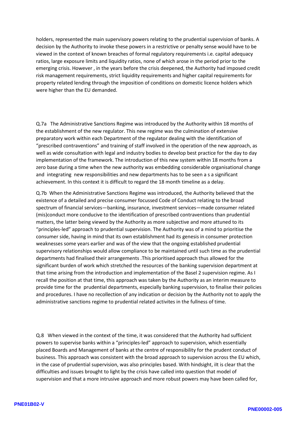holders, represented the main supervisory powers relating to the prudential supervision of banks. A decision by the Authority to invoke these powers in a restrictive or penalty sense would have to be viewed in the context of known breaches of formal regulatory requirements i.e. capital adequacy ratios, large exposure limits and liquidity ratios, none of which arose in the period prior to the emerging crisis. However , in the years before the crisis deepened, the Authority had imposed credit risk management requirements, strict liquidity requirements and higher capital requirements for property related lending through the imposition of conditions on domestic licence holders which were higher than the EU demanded.

Q.7a The Administrative Sanctions Regime was introduced by the Authority within 18 months of the establishment of the new regulator. This new regime was the culmination of extensive preparatory work within each Department of the regulator dealing with the identification of "prescribed contraventions" and training of staff involved in the operation of the new approach, as well as wide consultation with legal and industry bodies to develop best practice for the day to day implementation of the framework. The introduction of this new system within 18 months from a zero base during a time when the new authority was embedding considerable organisational change and integrating new responsibilities and new departments has to be seen a s a significant achievement. In this context it is difficult to regard the 18 month timeline as a delay.

Q.7b When the Administrative Sanctions Regime was introduced, the Authority believed that the existence of a detailed and precise consumer focussed Code of Conduct relating to the broad spectrum of financial services—banking, insurance, investment services—made consumer related (mis)conduct more conducive to the identification of prescribed contraventions than prudential matters, the latter being viewed by the Authority as more subjective and more attuned to its "principles-led" approach to prudential supervision. The Authority was of a mind to prioritise the consumer side, having in mind that its own establishment had its genesis in consumer protection weaknesses some years earlier and was of the view that the ongoing established prudential supervisory relationships would allow compliance to be maintained until such time as the prudential departments had finalised their arrangements .This prioritised approach thus allowed for the significant burden of work which stretched the resources of the banking supervision department at that time arising from the introduction and implementation of the Basel 2 supervision regime. As I recall the position at that time, this approach was taken by the Authority as an interim measure to provide time for the prudential departments, especially banking supervision, to finalise their policies and procedures. I have no recollection of any indication or decision by the Authority not to apply the administrative sanctions regime to prudential related activites in the fullness of time.

Q.8 When viewed in the context of the time, it was considered that the Authority had sufficient powers to supervise banks within a "principles-led" approach to supervision, which essentially placed Boards and Management of banks at the centre of responsibility for the prudent conduct of business. This approach was consistent with the broad approach to supervision across the EU which, in the case of prudential supervision, was also principles based. With hindsight, iIt is clear that the difficulties and issues brought to light by the crisis have called into question that model of supervision and that a more intrusive approach and more robust powers may have been called for,